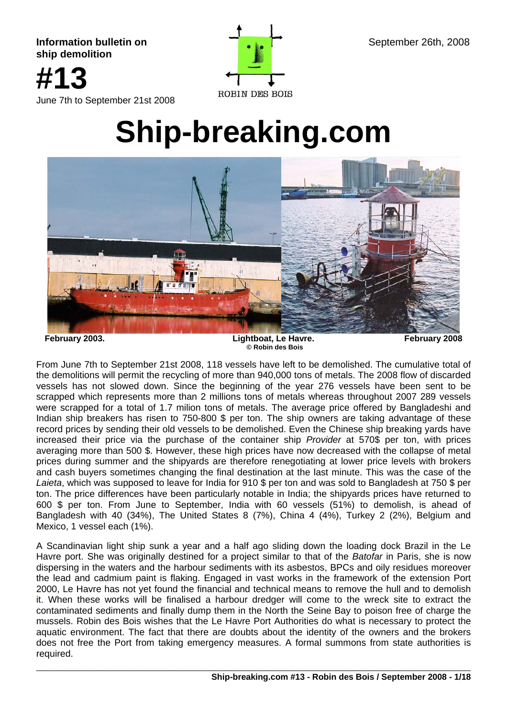**Information bulletin on September 26th, 2008**<br> **September 26th, 2008** 





# **Ship-breaking.com**



**February 2003. Lightboat, Le Havre. February 2008 © Robin des Bois** 

From June 7th to September 21st 2008, 118 vessels have left to be demolished. The cumulative total of the demolitions will permit the recycling of more than 940,000 tons of metals. The 2008 flow of discarded vessels has not slowed down. Since the beginning of the year 276 vessels have been sent to be scrapped which represents more than 2 millions tons of metals whereas throughout 2007 289 vessels were scrapped for a total of 1.7 milion tons of metals. The average price offered by Bangladeshi and Indian ship breakers has risen to 750-800 \$ per ton. The ship owners are taking advantage of these record prices by sending their old vessels to be demolished. Even the Chinese ship breaking yards have increased their price via the purchase of the container ship *Provider* at 570\$ per ton, with prices averaging more than 500 \$. However, these high prices have now decreased with the collapse of metal prices during summer and the shipyards are therefore renegotiating at lower price levels with brokers and cash buyers sometimes changing the final destination at the last minute. This was the case of the *Laieta*, which was supposed to leave for India for 910 \$ per ton and was sold to Bangladesh at 750 \$ per ton. The price differences have been particularly notable in India; the shipyards prices have returned to 600 \$ per ton. From June to September, India with 60 vessels (51%) to demolish, is ahead of Bangladesh with 40 (34%), The United States 8 (7%), China 4 (4%), Turkey 2 (2%), Belgium and Mexico, 1 vessel each (1%).

A Scandinavian light ship sunk a year and a half ago sliding down the loading dock Brazil in the Le Havre port. She was originally destined for a project similar to that of the *Batofar* in Paris, she is now dispersing in the waters and the harbour sediments with its asbestos, BPCs and oily residues moreover the lead and cadmium paint is flaking. Engaged in vast works in the framework of the extension Port 2000, Le Havre has not yet found the financial and technical means to remove the hull and to demolish it. When these works will be finalised a harbour dredger will come to the wreck site to extract the contaminated sediments and finally dump them in the North the Seine Bay to poison free of charge the mussels. Robin des Bois wishes that the Le Havre Port Authorities do what is necessary to protect the aquatic environment. The fact that there are doubts about the identity of the owners and the brokers does not free the Port from taking emergency measures. A formal summons from state authorities is required.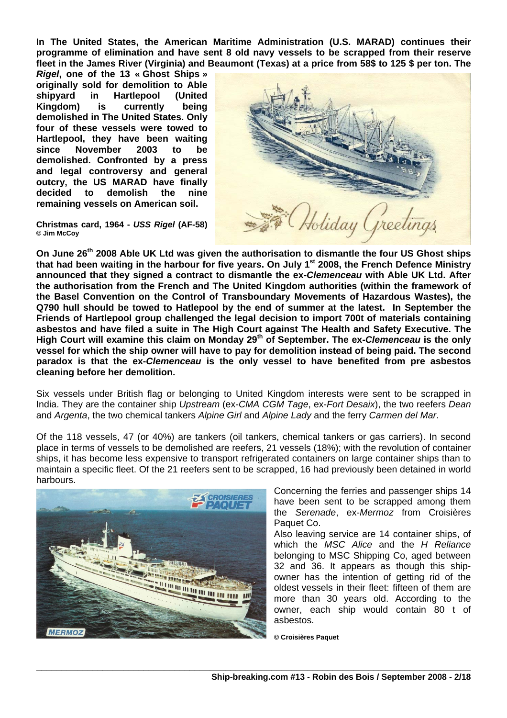**In The United States, the American Maritime Administration (U.S. MARAD) continues their programme of elimination and have sent 8 old navy vessels to be scrapped from their reserve fleet in the James River (Virginia) and Beaumont (Texas) at a price from 58\$ to 125 \$ per ton. The** 

*Rigel***, one of the 13 « Ghost Ships » originally sold for demolition to Able shipyard in Hartlepool (United Kingdom) is currently being demolished in The United States. Only four of these vessels were towed to Hartlepool, they have been waiting since November 2003 to be demolished. Confronted by a press and legal controversy and general outcry, the US MARAD have finally decided to demolish the nine remaining vessels on American soil.** 

**Christmas card, 1964 -** *USS Rigel* **(AF-58) © Jim McCoy** 



**On June 26th 2008 Able UK Ltd was given the authorisation to dismantle the four US Ghost ships that had been waiting in the harbour for five years. On July 1st 2008, the French Defence Ministry announced that they signed a contract to dismantle the ex-***Clemenceau* **with Able UK Ltd. After the authorisation from the French and The United Kingdom authorities (within the framework of the Basel Convention on the Control of Transboundary Movements of Hazardous Wastes), the Q790 hull should be towed to Hatlepool by the end of summer at the latest. In September the Friends of Hartlepool group challenged the legal decision to import 700t of materials containing asbestos and have filed a suite in The High Court against The Health and Safety Executive. The**  High Court will examine this claim on Monday 29<sup>th</sup> of September. The ex-*Clemenceau* is the only **vessel for which the ship owner will have to pay for demolition instead of being paid. The second paradox is that the ex-***Clemenceau* **is the only vessel to have benefited from pre asbestos cleaning before her demolition.** 

Six vessels under British flag or belonging to United Kingdom interests were sent to be scrapped in India. They are the container ship *Upstream* (ex-*CMA CGM Tage*, ex-*Fort Desaix*), the two reefers *Dean* and *Argenta*, the two chemical tankers *Alpine Girl* and *Alpine Lady* and the ferry *Carmen del Mar*.

Of the 118 vessels, 47 (or 40%) are tankers (oil tankers, chemical tankers or gas carriers). In second place in terms of vessels to be demolished are reefers, 21 vessels (18%); with the revolution of container ships, it has become less expensive to transport refrigerated containers on large container ships than to maintain a specific fleet. Of the 21 reefers sent to be scrapped, 16 had previously been detained in world harbours.

\_\_\_\_\_\_\_\_\_\_\_\_\_\_\_\_\_\_\_\_\_\_\_\_\_\_\_\_\_\_\_\_\_\_\_\_\_\_\_\_\_\_\_\_\_\_\_\_\_\_\_\_\_\_\_\_\_\_\_\_\_\_\_\_\_\_\_\_\_\_\_\_\_\_\_\_\_\_\_\_\_\_\_\_\_



Concerning the ferries and passenger ships 14 have been sent to be scrapped among them the *Serenade*, ex-*Mermoz* from Croisières Paquet Co.

Also leaving service are 14 container ships, of which the *MSC Alice* and the *H Reliance* belonging to MSC Shipping Co, aged between 32 and 36. It appears as though this shipowner has the intention of getting rid of the oldest vessels in their fleet: fifteen of them are more than 30 years old. According to the owner, each ship would contain 80 t of asbestos.

**© Croisières Paquet**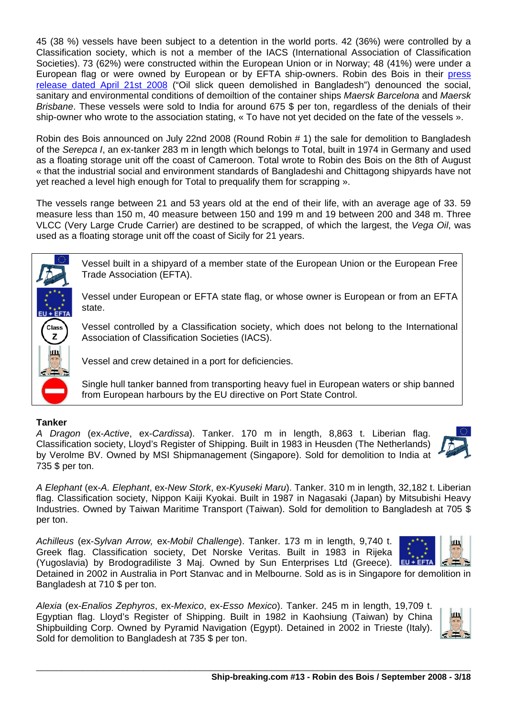45 (38 %) vessels have been subject to a detention in the world ports. 42 (36%) were controlled by a Classification society, which is not a member of the IACS (International Association of Classification Societies). 73 (62%) were constructed within the European Union or in Norway; 48 (41%) were under a European flag or were owned by European or by EFTA ship-owners. Robin des Bois in their press release dated April 21st 2008 ("Oil slick queen demolished in Bangladesh") denounced the social, sanitary and environmental conditions of demoiltion of the container ships *Maersk Barcelona* and *Maersk Brisbane*. These vessels were sold to India for around 675 \$ per ton, regardless of the denials of their ship-owner who wrote to the association stating, « To have not yet decided on the fate of the vessels ».

Robin des Bois announced on July 22nd 2008 (Round Robin # 1) the sale for demolition to Bangladesh of the *Serepca I*, an ex-tanker 283 m in length which belongs to Total, built in 1974 in Germany and used as a floating storage unit off the coast of Cameroon. Total wrote to Robin des Bois on the 8th of August « that the industrial social and environment standards of Bangladeshi and Chittagong shipyards have not yet reached a level high enough for Total to prequalify them for scrapping ».

The vessels range between 21 and 53 years old at the end of their life, with an average age of 33. 59 measure less than 150 m, 40 measure between 150 and 199 m and 19 between 200 and 348 m. Three VLCC (Very Large Crude Carrier) are destined to be scrapped, of which the largest, the *Vega Oil*, was used as a floating storage unit off the coast of Sicily for 21 years.

Class<sup>1</sup> z m

Vessel built in a shipyard of a member state of the European Union or the European Free Trade Association (EFTA).

Vessel under European or EFTA state flag, or whose owner is European or from an EFTA state.

Vessel controlled by a Classification society, which does not belong to the International Association of Classification Societies (IACS).

Vessel and crew detained in a port for deficiencies.

Single hull tanker banned from transporting heavy fuel in European waters or ship banned from European harbours by the EU directive on Port State Control.

# **Tanker**

*A Dragon* (ex-*Active*, ex-*Cardissa*). Tanker. 170 m in length, 8,863 t. Liberian flag. Classification society, Lloyd's Register of Shipping. Built in 1983 in Heusden (The Netherlands) by Verolme BV. Owned by MSI Shipmanagement (Singapore). Sold for demolition to India at 735 \$ per ton.

*A Elephant* (ex-*A. Elephant*, ex-*New Stork*, ex-*Kyuseki Maru*). Tanker. 310 m in length, 32,182 t. Liberian flag. Classification society, Nippon Kaiji Kyokai. Built in 1987 in Nagasaki (Japan) by Mitsubishi Heavy Industries. Owned by Taiwan Maritime Transport (Taiwan). Sold for demolition to Bangladesh at 705 \$ per ton.

*Achilleus* (ex-*Sylvan Arrow,* ex-*Mobil Challenge*). Tanker. 173 m in length, 9,740 t. Greek flag. Classification society, Det Norske Veritas. Built in 1983 in Rijeka (Yugoslavia) by Brodogradiliste 3 Maj. Owned by Sun Enterprises Ltd (Greece). EU+EFTA



Detained in 2002 in Australia in Port Stanvac and in Melbourne. Sold as is in Singapore for demolition in Bangladesh at 710 \$ per ton.

\_\_\_\_\_\_\_\_\_\_\_\_\_\_\_\_\_\_\_\_\_\_\_\_\_\_\_\_\_\_\_\_\_\_\_\_\_\_\_\_\_\_\_\_\_\_\_\_\_\_\_\_\_\_\_\_\_\_\_\_\_\_\_\_\_\_\_\_\_\_\_\_\_\_\_\_\_\_\_\_\_\_\_\_\_

*Alexia* (ex-*Enalios Zephyros*, ex-*Mexico*, ex-*Esso Mexico*). Tanker. 245 m in length, 19,709 t. Egyptian flag. Lloyd's Register of Shipping. Built in 1982 in Kaohsiung (Taiwan) by China Shipbuilding Corp. Owned by Pyramid Navigation (Egypt). Detained in 2002 in Trieste (Italy). Sold for demolition to Bangladesh at 735 \$ per ton.

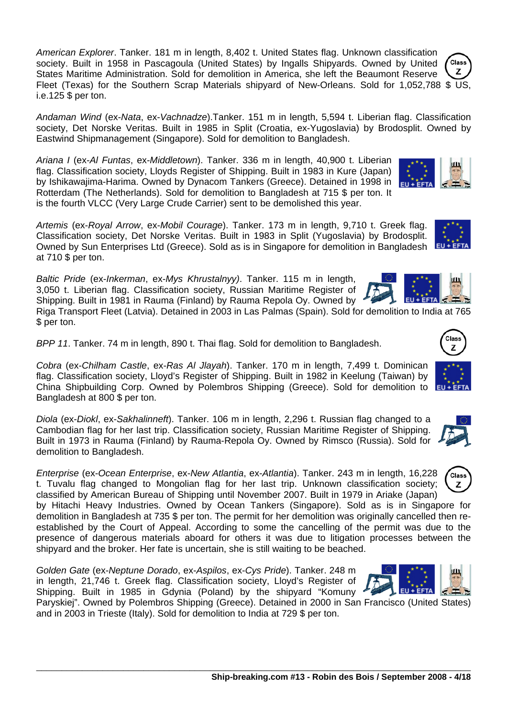*American Explorer*. Tanker. 181 m in length, 8,402 t. United States flag. Unknown classification society. Built in 1958 in Pascagoula (United States) by Ingalls Shipyards. Owned by United States Maritime Administration. Sold for demolition in America, she left the Beaumont Reserve Fleet (Texas) for the Southern Scrap Materials shipyard of New-Orleans. Sold for 1,052,788 \$ US, i.e.125 \$ per ton.

*Andaman Wind* (ex-*Nata*, ex-*Vachnadze*).Tanker. 151 m in length, 5,594 t. Liberian flag. Classification society, Det Norske Veritas. Built in 1985 in Split (Croatia, ex-Yugoslavia) by Brodosplit. Owned by Eastwind Shipmanagement (Singapore). Sold for demolition to Bangladesh.

*Ariana I* (ex-*Al Funtas*, ex-*Middletown*). Tanker. 336 m in length, 40,900 t. Liberian flag. Classification society, Lloyds Register of Shipping. Built in 1983 in Kure (Japan) by Ishikawajima-Harima. Owned by Dynacom Tankers (Greece). Detained in 1998 in Rotterdam (The Netherlands). Sold for demolition to Bangladesh at 715 \$ per ton. It is the fourth VLCC (Very Large Crude Carrier) sent to be demolished this year.

*Artemis* (ex-*Royal Arrow*, ex-*Mobil Courage*). Tanker. 173 m in length, 9,710 t. Greek flag. Classification society, Det Norske Veritas. Built in 1983 in Split (Yugoslavia) by Brodosplit. Owned by Sun Enterprises Ltd (Greece). Sold as is in Singapore for demolition in Bangladesh at 710 \$ per ton.

*Baltic Pride* (ex-*Inkerman*, ex-*Mys Khrustalnyy)*. Tanker. 115 m in length, 3,050 t. Liberian flag. Classification society, Russian Maritime Register of Shipping. Built in 1981 in Rauma (Finland) by Rauma Repola Oy. Owned by

Riga Transport Fleet (Latvia). Detained in 2003 in Las Palmas (Spain). Sold for demolition to India at 765 \$ per ton.

*BPP 11*. Tanker. 74 m in length, 890 t. Thai flag. Sold for demolition to Bangladesh.

*Cobra* (ex-*Chilham Castle*, ex-*Ras Al Jlayah*). Tanker. 170 m in length, 7,499 t. Dominican flag. Classification society, Lloyd's Register of Shipping. Built in 1982 in Keelung (Taiwan) by China Shipbuilding Corp. Owned by Polembros Shipping (Greece). Sold for demolition to Bangladesh at 800 \$ per ton.

*Diola* (ex-*Diokl*, ex-*Sakhalinneft*). Tanker. 106 m in length, 2,296 t. Russian flag changed to a Cambodian flag for her last trip. Classification society, Russian Maritime Register of Shipping. Built in 1973 in Rauma (Finland) by Rauma-Repola Oy. Owned by Rimsco (Russia). Sold for demolition to Bangladesh.

*Enterprise* (ex-*Ocean Enterprise*, ex-*New Atlantia*, ex-*Atlantia*). Tanker. 243 m in length, 16,228 t. Tuvalu flag changed to Mongolian flag for her last trip. Unknown classification society; classified by American Bureau of Shipping until November 2007. Built in 1979 in Ariake (Japan)

by Hitachi Heavy Industries. Owned by Ocean Tankers (Singapore). Sold as is in Singapore for demolition in Bangladesh at 735 \$ per ton. The permit for her demolition was originally cancelled then reestablished by the Court of Appeal. According to some the cancelling of the permit was due to the presence of dangerous materials aboard for others it was due to litigation processes between the shipyard and the broker. Her fate is uncertain, she is still waiting to be beached.

*Golden Gate* (ex-*Neptune Dorado*, ex-*Aspilos*, ex-*Cys Pride*). Tanker. 248 m in length, 21,746 t. Greek flag. Classification society, Lloyd's Register of Shipping. Built in 1985 in Gdynia (Poland) by the shipyard "Komuny

Paryskiej". Owned by Polembros Shipping (Greece). Detained in 2000 in San Francisco (United States) and in 2003 in Trieste (Italy). Sold for demolition to India at 729 \$ per ton.





.<br>Class z









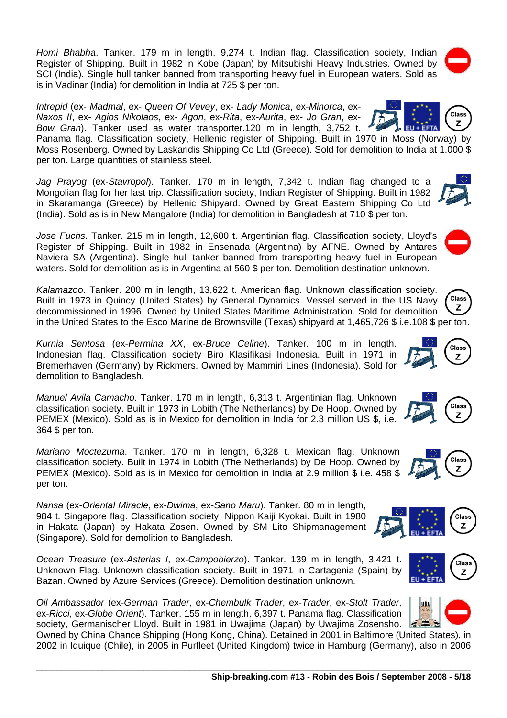*Homi Bhabha*. Tanker. 179 m in length, 9,274 t. Indian flag. Classification society, Indian Register of Shipping. Built in 1982 in Kobe (Japan) by Mitsubishi Heavy Industries. Owned by SCI (India). Single hull tanker banned from transporting heavy fuel in European waters. Sold as is in Vadinar (India) for demolition in India at 725 \$ per ton.

*Intrepid* (ex- *Madmal*, ex- *Queen Of Vevey*, ex- *Lady Monica*, ex-*Minorca*, ex-*Naxos II*, ex- *Agios Nikolaos*, ex- *Agon*, ex-*Rita*, ex-*Aurita*, ex- *Jo Gran*, ex-*Bow Gran*). Tanker used as water transporter.120 m in length, 3,752 t.

Panama flag. Classification society, Hellenic register of Shipping. Built in 1970 in Moss (Norway) by Moss Rosenberg. Owned by Laskaridis Shipping Co Ltd (Greece). Sold for demolition to India at 1.000 \$ per ton. Large quantities of stainless steel.

*Jag Prayog* (ex-*Stavropol*). Tanker. 170 m in length, 7,342 t. Indian flag changed to a Mongolian flag for her last trip. Classification society, Indian Register of Shipping. Built in 1982 in Skaramanga (Greece) by Hellenic Shipyard. Owned by Great Eastern Shipping Co Ltd (India). Sold as is in New Mangalore (India) for demolition in Bangladesh at 710 \$ per ton.

*Jose Fuchs*. Tanker. 215 m in length, 12,600 t. Argentinian flag. Classification society, Lloyd's Register of Shipping. Built in 1982 in Ensenada (Argentina) by AFNE. Owned by Antares Naviera SA (Argentina). Single hull tanker banned from transporting heavy fuel in European waters. Sold for demolition as is in Argentina at 560 \$ per ton. Demolition destination unknown.

*Kalamazoo*. Tanker. 200 m in length, 13,622 t. American flag. Unknown classification society. Class<sup>7</sup> Built in 1973 in Quincy (United States) by General Dynamics. Vessel served in the US Navy z decommissioned in 1996. Owned by United States Maritime Administration. Sold for demolition in the United States to the Esco Marine de Brownsville (Texas) shipyard at 1,465,726 \$ i.e.108 \$ per ton.

*Kurnia Sentosa* (ex-*Permina XX*, ex-*Bruce Celine*). Tanker. 100 m in length. Indonesian flag. Classification society Biro Klasifikasi Indonesia. Built in 1971 in Bremerhaven (Germany) by Rickmers. Owned by Mammiri Lines (Indonesia). Sold for demolition to Bangladesh.

*Manuel Avila Camacho*. Tanker. 170 m in length, 6,313 t. Argentinian flag. Unknown classification society. Built in 1973 in Lobith (The Netherlands) by De Hoop. Owned by PEMEX (Mexico). Sold as is in Mexico for demolition in India for 2.3 million US \$, i.e. 364 \$ per ton.

*Mariano Moctezuma*. Tanker. 170 m in length, 6,328 t. Mexican flag. Unknown classification society. Built in 1974 in Lobith (The Netherlands) by De Hoop. Owned by PEMEX (Mexico). Sold as is in Mexico for demolition in India at 2.9 million \$ i.e. 458 \$ per ton.

*Nansa* (ex-*Oriental Miracle*, ex-*Dwima*, ex-*Sano Maru*). Tanker. 80 m in length, 984 t. Singapore flag. Classification society, Nippon Kaiji Kyokai. Built in 1980 in Hakata (Japan) by Hakata Zosen. Owned by SM Lito Shipmanagement (Singapore). Sold for demolition to Bangladesh.

*Ocean Treasure* (ex-*Asterias I*, ex-*Campobierzo*). Tanker. 139 m in length, 3,421 t. Unknown Flag. Unknown classification society. Built in 1971 in Cartagenia (Spain) by Bazan. Owned by Azure Services (Greece). Demolition destination unknown.

*Oil Ambassador* (ex-*German Trader*, ex-*Chembulk Trader*, ex-*Trader*, ex-*Stolt Trader*, ex-*Ricci*, ex-*Globe Orient*). Tanker. 155 m in length, 6,397 t. Panama flag. Classification society, Germanischer Lloyd. Built in 1981 in Uwajima (Japan) by Uwajima Zosensho.

Owned by China Chance Shipping (Hong Kong, China). Detained in 2001 in Baltimore (United States), in 2002 in Iquique (Chile), in 2005 in Purfleet (United Kingdom) twice in Hamburg (Germany), also in 2006

















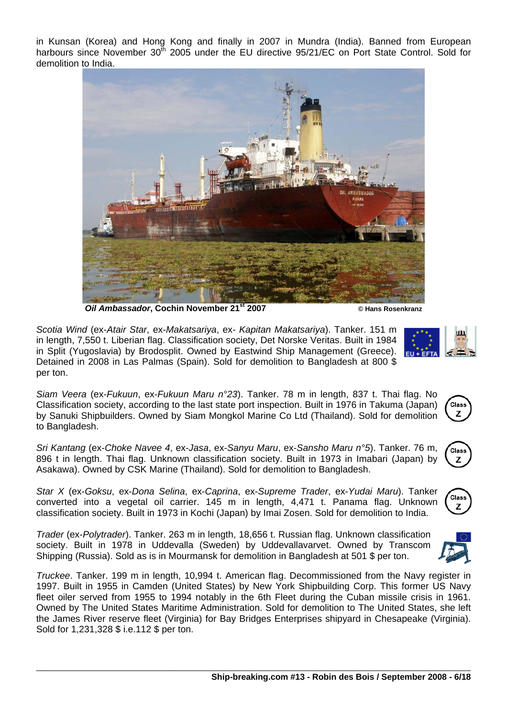in Kunsan (Korea) and Hong Kong and finally in 2007 in Mundra (India). Banned from European harbours since November 30<sup>th</sup> 2005 under the EU directive 95/21/EC on Port State Control. Sold for demolition to India.



*Oil Ambassador***, Cochin November 21st 2007 © Hans Rosenkranz**

*Scotia Wind* (ex-*Atair Star*, ex-*Makatsariya*, ex- *Kapitan Makatsariya*). Tanker. 151 m in length, 7,550 t. Liberian flag. Classification society, Det Norske Veritas. Built in 1984 in Split (Yugoslavia) by Brodosplit. Owned by Eastwind Ship Management (Greece). Detained in 2008 in Las Palmas (Spain). Sold for demolition to Bangladesh at 800 \$ per ton.

*Siam Veera* (ex-*Fukuun*, ex-*Fukuun Maru n°23*). Tanker. 78 m in length, 837 t. Thai flag. No Classification society, according to the last state port inspection. Built in 1976 in Takuma (Japan) by Sanuki Shipbuilders. Owned by Siam Mongkol Marine Co Ltd (Thailand). Sold for demolition to Bangladesh.

*Sri Kantang* (ex-*Choke Navee 4*, ex-*Jasa*, ex-*Sanyu Maru*, ex-*Sansho Maru n°5*). Tanker. 76 m, 896 t in length. Thai flag. Unknown classification society. Built in 1973 in Imabari (Japan) by Asakawa). Owned by CSK Marine (Thailand). Sold for demolition to Bangladesh.

*Star X* (ex-*Goksu*, ex-*Dona Selina*, ex-*Caprina*, ex-*Supreme Trader*, ex-*Yudai Maru*). Tanker converted into a vegetal oil carrier. 145 m in length, 4,471 t. Panama flag. Unknown classification society. Built in 1973 in Kochi (Japan) by Imai Zosen. Sold for demolition to India.

*Trader* (ex-*Polytrader*). Tanker. 263 m in length, 18,656 t. Russian flag. Unknown classification society. Built in 1978 in Uddevalla (Sweden) by Uddevallavarvet. Owned by Transcom Shipping (Russia). Sold as is in Mourmansk for demolition in Bangladesh at 501 \$ per ton.

*Truckee*. Tanker. 199 m in length, 10,994 t. American flag. Decommissioned from the Navy register in 1997. Built in 1955 in Camden (United States) by New York Shipbuilding Corp. This former US Navy fleet oiler served from 1955 to 1994 notably in the 6th Fleet during the Cuban missile crisis in 1961. Owned by The United States Maritime Administration. Sold for demolition to The United States, she left the James River reserve fleet (Virginia) for Bay Bridges Enterprises shipyard in Chesapeake (Virginia). Sold for 1,231,328 \$ i.e.112 \$ per ton.







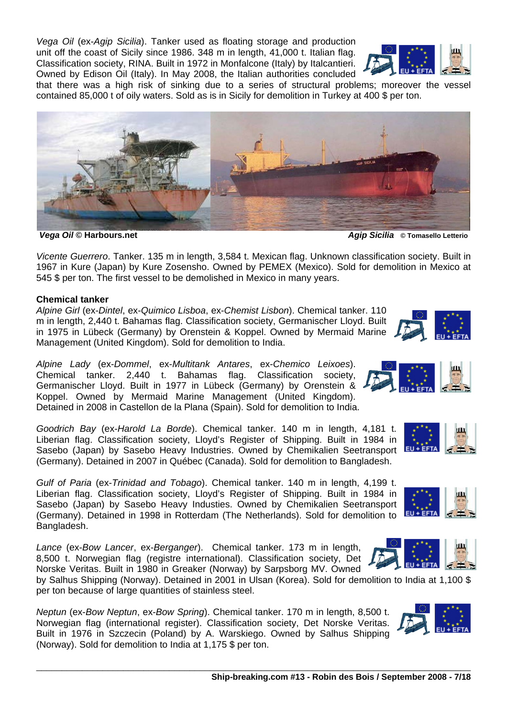*Vega Oil* (ex-*Agip Sicilia*). Tanker used as floating storage and production unit off the coast of Sicily since 1986. 348 m in length, 41,000 t. Italian flag. Classification society, RINA. Built in 1972 in Monfalcone (Italy) by Italcantieri. Owned by Edison Oil (Italy). In May 2008, the Italian authorities concluded



that there was a high risk of sinking due to a series of structural problems; moreover the vessel contained 85,000 t of oily waters. Sold as is in Sicily for demolition in Turkey at 400 \$ per ton.



*Vega Oil* **© Harbours.net** *Agip Sicilia* **© Tomasello Letterio**

*Vicente Guerrero*. Tanker. 135 m in length, 3,584 t. Mexican flag. Unknown classification society. Built in 1967 in Kure (Japan) by Kure Zosensho. Owned by PEMEX (Mexico). Sold for demolition in Mexico at 545 \$ per ton. The first vessel to be demolished in Mexico in many years.

#### **Chemical tanker**

*Alpine Girl* (ex-*Dintel*, ex-*Quimico Lisboa*, ex-*Chemist Lisbon*). Chemical tanker. 110 m in length, 2,440 t. Bahamas flag. Classification society, Germanischer Lloyd. Built in 1975 in Lübeck (Germany) by Orenstein & Koppel. Owned by Mermaid Marine Management (United Kingdom). Sold for demolition to India.

*Alpine Lady* (ex-*Dommel*, ex-*Multitank Antares*, ex-*Chemico Leixoes*). Chemical tanker. 2,440 t. Bahamas flag. Classification society, Germanischer Lloyd. Built in 1977 in Lübeck (Germany) by Orenstein & Koppel. Owned by Mermaid Marine Management (United Kingdom). Detained in 2008 in Castellon de la Plana (Spain). Sold for demolition to India.

*Goodrich Bay* (ex-*Harold La Borde*). Chemical tanker. 140 m in length, 4,181 t. Liberian flag. Classification society, Lloyd's Register of Shipping. Built in 1984 in Sasebo (Japan) by Sasebo Heavy Industries. Owned by Chemikalien Seetransport (Germany). Detained in 2007 in Québec (Canada). Sold for demolition to Bangladesh.

*Gulf of Paria* (ex-*Trinidad and Tobago*). Chemical tanker. 140 m in length, 4,199 t. Liberian flag. Classification society, Lloyd's Register of Shipping. Built in 1984 in Sasebo (Japan) by Sasebo Heavy Industies. Owned by Chemikalien Seetransport (Germany). Detained in 1998 in Rotterdam (The Netherlands). Sold for demolition to Bangladesh.

*Lance* (ex-*Bow Lancer*, ex-*Berganger*). Chemical tanker. 173 m in length, 8,500 t. Norwegian flag (registre international). Classification society, Det Norske Veritas. Built in 1980 in Greaker (Norway) by Sarpsborg MV. Owned

by Salhus Shipping (Norway). Detained in 2001 in Ulsan (Korea). Sold for demolition to India at 1,100 \$ per ton because of large quantities of stainless steel.

\_\_\_\_\_\_\_\_\_\_\_\_\_\_\_\_\_\_\_\_\_\_\_\_\_\_\_\_\_\_\_\_\_\_\_\_\_\_\_\_\_\_\_\_\_\_\_\_\_\_\_\_\_\_\_\_\_\_\_\_\_\_\_\_\_\_\_\_\_\_\_\_\_\_\_\_\_\_\_\_\_\_\_\_\_

*Neptun* (ex-*Bow Neptun*, ex-*Bow Spring*). Chemical tanker. 170 m in length, 8,500 t. Norwegian flag (international register). Classification society, Det Norske Veritas. Built in 1976 in Szczecin (Poland) by A. Warskiego. Owned by Salhus Shipping (Norway). Sold for demolition to India at 1,175 \$ per ton.







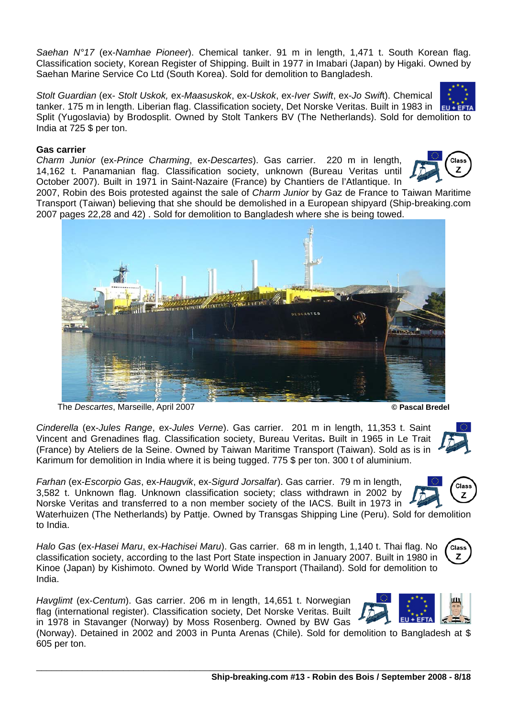*Saehan N°17* (ex-*Namhae Pioneer*). Chemical tanker. 91 m in length, 1,471 t. South Korean flag. Classification society, Korean Register of Shipping. Built in 1977 in Imabari (Japan) by Higaki. Owned by Saehan Marine Service Co Ltd (South Korea). Sold for demolition to Bangladesh.

*Stolt Guardian* (ex- *Stolt Uskok,* ex*-Maasuskok*, ex-*Uskok*, ex-*Iver Swift*, ex-*Jo Swif*t). Chemical tanker. 175 m in length. Liberian flag. Classification society, Det Norske Veritas. Built in 1983 in Eu Split (Yugoslavia) by Brodosplit. Owned by Stolt Tankers BV (The Netherlands). Sold for demolition to India at 725 \$ per ton.

# **Gas carrier**

*Charm Junior* (ex-*Prince Charming*, ex-*Descartes*). Gas carrier. 220 m in length, 14,162 t. Panamanian flag. Classification society, unknown (Bureau Veritas until October 2007). Built in 1971 in Saint-Nazaire (France) by Chantiers de l'Atlantique. In

2007, Robin des Bois protested against the sale of *Charm Junior* by Gaz de France to Taiwan Maritime Transport (Taiwan) believing that she should be demolished in a European shipyard (Ship-breaking.com 2007 pages 22,28 and 42) . Sold for demolition to Bangladesh where she is being towed.

The *Descartes*, Marseille, April 2007 **© Pascal Bredel**

*Cinderella* (ex-*Jules Range*, ex-*Jules Verne*). Gas carrier. 201 m in length, 11,353 t. Saint Vincent and Grenadines flag. Classification society, Bureau Veritas**.** Built in 1965 in Le Trait (France) by Ateliers de la Seine. Owned by Taiwan Maritime Transport (Taiwan). Sold as is in Karimum for demolition in India where it is being tugged. 775 \$ per ton. 300 t of aluminium.

*Farhan* (ex-*Escorpio Gas*, ex-*Haugvik*, ex-*Sigurd Jorsalfar*). Gas carrier. 79 m in length, 3,582 t. Unknown flag. Unknown classification society; class withdrawn in 2002 by Norske Veritas and transferred to a non member society of the IACS. Built in 1973 in

Waterhuizen (The Netherlands) by Pattje. Owned by Transgas Shipping Line (Peru). Sold for demolition to India.

*Halo Gas* (ex-*Hasei Maru*, ex*-Hachisei Maru*). Gas carrier. 68 m in length, 1,140 t. Thai flag. No classification society, according to the last Port State inspection in January 2007. Built in 1980 in Kinoe (Japan) by Kishimoto. Owned by World Wide Transport (Thailand). Sold for demolition to India.

*Havglimt* (ex-*Centum*). Gas carrier. 206 m in length, 14,651 t. Norwegian flag (international register). Classification society, Det Norske Veritas. Built in 1978 in Stavanger (Norway) by Moss Rosenberg. Owned by BW Gas

(Norway). Detained in 2002 and 2003 in Punta Arenas (Chile). Sold for demolition to Bangladesh at \$ 605 per ton.











Class<sup>7</sup>

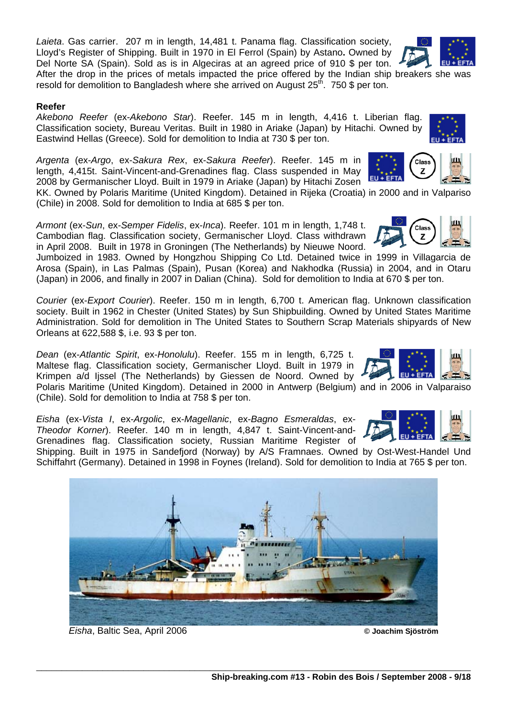\_\_\_\_\_\_\_\_\_\_\_\_\_\_\_\_\_\_\_\_\_\_\_\_\_\_\_\_\_\_\_\_\_\_\_\_\_\_\_\_\_\_\_\_\_\_\_\_\_\_\_\_\_\_\_\_\_\_\_\_\_\_\_\_\_\_\_\_\_\_\_\_\_\_\_\_\_\_\_\_\_\_\_\_\_ **Ship-breaking.com #13 - Robin des Bois / September 2008 - 9/18** 

*Laieta*. Gas carrier. 207 m in length, 14,481 t. Panama flag. Classification society, Lloyd's Register of Shipping. Built in 1970 in El Ferrol (Spain) by Astano**.** Owned by Del Norte SA (Spain). Sold as is in Algeciras at an agreed price of 910 \$ per ton. After the drop in the prices of metals impacted the price offered by the Indian ship breakers she was resold for demolition to Bangladesh where she arrived on August  $25<sup>th</sup>$ . 750 \$ per ton.

#### **Reefer**

*Akebono Reefer* (ex-*Akebono Star*). Reefer. 145 m in length, 4,416 t. Liberian flag. Classification society, Bureau Veritas. Built in 1980 in Ariake (Japan) by Hitachi. Owned by Eastwind Hellas (Greece). Sold for demolition to India at 730 \$ per ton.

*Argenta* (ex-*Argo*, ex-*Sakura Rex*, ex-*Sakura Reefer*). Reefer. 145 m in length, 4,415t. Saint-Vincent-and-Grenadines flag. Class suspended in May 2008 by Germanischer Lloyd. Built in 1979 in Ariake (Japan) by Hitachi Zosen

KK. Owned by Polaris Maritime (United Kingdom). Detained in Rijeka (Croatia) in 2000 and in Valpariso (Chile) in 2008. Sold for demolition to India at 685 \$ per ton.

*Armont* (ex-*Sun*, ex-*Semper Fidelis*, ex-*Inca*). Reefer. 101 m in length, 1,748 t. Cambodian flag. Classification society, Germanischer Lloyd. Class withdrawn in April 2008. Built in 1978 in Groningen (The Netherlands) by Nieuwe Noord.

Jumboized in 1983. Owned by Hongzhou Shipping Co Ltd. Detained twice in 1999 in Villagarcia de Arosa (Spain), in Las Palmas (Spain), Pusan (Korea) and Nakhodka (Russia) in 2004, and in Otaru (Japan) in 2006, and finally in 2007 in Dalian (China). Sold for demolition to India at 670 \$ per ton.

*Courier* (ex-*Export Courier*). Reefer. 150 m in length, 6,700 t. American flag. Unknown classification society. Built in 1962 in Chester (United States) by Sun Shipbuilding. Owned by United States Maritime Administration. Sold for demolition in The United States to Southern Scrap Materials shipyards of New Orleans at 622,588 \$, i.e. 93 \$ per ton.

*Dean* (ex-*Atlantic Spirit*, ex-*Honolulu*). Reefer. 155 m in length, 6,725 t. Maltese flag. Classification society, Germanischer Lloyd. Built in 1979 in Krimpen a/d Ijssel (The Netherlands) by Giessen de Noord. Owned by Polaris Maritime (United Kingdom). Detained in 2000 in Antwerp (Belgium) and in 2006 in Valparaiso (Chile). Sold for demolition to India at 758 \$ per ton.

*Eisha* (ex-*Vista I*, ex-*Argolic*, ex-*Magellanic*, ex-*Bagno Esmeraldas*, ex-*Theodor Korner*). Reefer. 140 m in length, 4,847 t. Saint-Vincent-and-Grenadines flag. Classification society, Russian Maritime Register of

Shipping. Built in 1975 in Sandefjord (Norway) by A/S Framnaes. Owned by Ost-West-Handel Und Schiffahrt (Germany). Detained in 1998 in Foynes (Ireland). Sold for demolition to India at 765 \$ per ton.

*Eisha*, Baltic Sea, April 2006 **© Joachim Sjöström** 





**Class** z

EU + EFTA



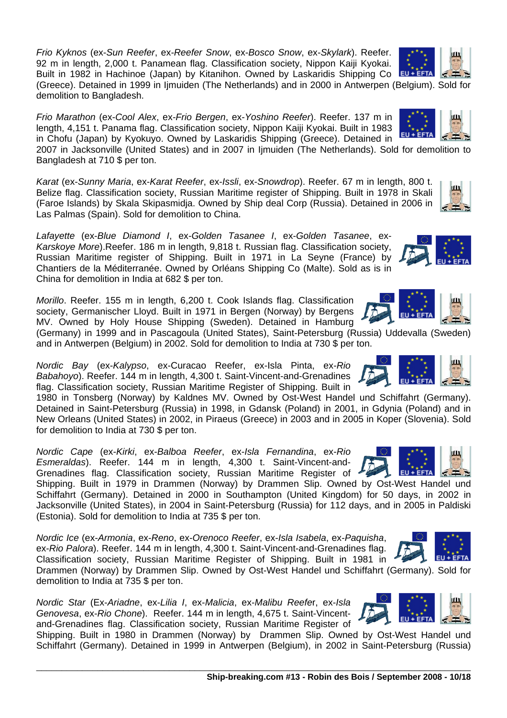\_\_\_\_\_\_\_\_\_\_\_\_\_\_\_\_\_\_\_\_\_\_\_\_\_\_\_\_\_\_\_\_\_\_\_\_\_\_\_\_\_\_\_\_\_\_\_\_\_\_\_\_\_\_\_\_\_\_\_\_\_\_\_\_\_\_\_\_\_\_\_\_\_\_\_\_\_\_\_\_\_\_\_\_\_ **Ship-breaking.com #13 - Robin des Bois / September 2008 - 10/18** 

*Frio Kyknos* (ex-*Sun Reefer*, ex*-Reefer Snow*, ex-*Bosco Snow*, ex-*Skylark*). Reefer. 92 m in length, 2,000 t. Panamean flag. Classification society, Nippon Kaiji Kyokai. Built in 1982 in Hachinoe (Japan) by Kitanihon. Owned by Laskaridis Shipping Co EU+EFTA (Greece). Detained in 1999 in Ijmuiden (The Netherlands) and in 2000 in Antwerpen (Belgium). Sold for

*Frio Marathon* (ex-*Cool Alex*, ex*-Frio Bergen*, ex-*Yoshino Reefer*). Reefer. 137 m in length, 4,151 t. Panama flag. Classification society, Nippon Kaiji Kyokai. Built in 1983 in Chofu (Japan) by Kyokuyo. Owned by Laskaridis Shipping (Greece). Detained in

demolition to Bangladesh.

2007 in Jacksonville (United States) and in 2007 in Ijmuiden (The Netherlands). Sold for demolition to Bangladesh at 710 \$ per ton.

*Karat* (ex-*Sunny Maria*, ex-*Karat Reefer*, ex-*Issli*, ex-*Snowdrop*). Reefer. 67 m in length, 800 t. Belize flag. Classification society, Russian Maritime register of Shipping. Built in 1978 in Skali (Faroe Islands) by Skala Skipasmidja. Owned by Ship deal Corp (Russia). Detained in 2006 in Las Palmas (Spain). Sold for demolition to China.

*Lafayette* (ex-*Blue Diamond I*, ex-*Golden Tasanee I*, ex-*Golden Tasanee*, ex-*Karskoye More*).Reefer. 186 m in length, 9,818 t. Russian flag. Classification society, Russian Maritime register of Shipping. Built in 1971 in La Seyne (France) by Chantiers de la Méditerranée. Owned by Orléans Shipping Co (Malte). Sold as is in China for demolition in India at 682 \$ per ton.

*Morillo*. Reefer. 155 m in length, 6,200 t. Cook Islands flag. Classification society, Germanischer Lloyd. Built in 1971 in Bergen (Norway) by Bergens MV. Owned by Holy House Shipping (Sweden). Detained in Hamburg

(Germany) in 1999 and in Pascagoula (United States), Saint-Petersburg (Russia) Uddevalla (Sweden) and in Antwerpen (Belgium) in 2002. Sold for demolition to India at 730 \$ per ton.

*Nordic Bay* (ex-*Kalypso*, ex-Curacao Reefer, ex-Isla Pinta, ex*-Rio Babahoyo*). Reefer. 144 m in length, 4,300 t. Saint-Vincent-and-Grenadines flag. Classification society, Russian Maritime Register of Shipping. Built in

1980 in Tonsberg (Norway) by Kaldnes MV. Owned by Ost-West Handel und Schiffahrt (Germany). Detained in Saint-Petersburg (Russia) in 1998, in Gdansk (Poland) in 2001, in Gdynia (Poland) and in New Orleans (United States) in 2002, in Piraeus (Greece) in 2003 and in 2005 in Koper (Slovenia). Sold for demolition to India at 730 \$ per ton.

*Nordic Cape* (ex-*Kirki*, ex-*Balboa Reefer*, ex-*Isla Fernandina*, ex-*Rio Esmeraldas*). Reefer. 144 m in length, 4,300 t. Saint-Vincent-and-Grenadines flag. Classification society, Russian Maritime Register of  $\blacktriangleright$ .

Shipping. Built in 1979 in Drammen (Norway) by Drammen Slip. Owned by Ost-West Handel und Schiffahrt (Germany). Detained in 2000 in Southampton (United Kingdom) for 50 days, in 2002 in Jacksonville (United States), in 2004 in Saint-Petersburg (Russia) for 112 days, and in 2005 in Paldiski (Estonia). Sold for demolition to India at 735 \$ per ton.

*Nordic Ice* (ex-*Armonia*, ex-*Reno*, ex-*Orenoco Reefer*, ex-*Isla Isabela*, ex-*Paquisha*, ex-*Rio Palora*). Reefer. 144 m in length, 4,300 t. Saint-Vincent-and-Grenadines flag. Classification society, Russian Maritime Register of Shipping. Built in 1981 in Drammen (Norway) by Drammen Slip. Owned by Ost-West Handel und Schiffahrt (Germany). Sold for demolition to India at 735 \$ per ton.

*Nordic Star* (Ex-*Ariadne*, ex-*Lilia I*, ex-*Malicia*, ex-*Malibu Reefe*r, ex-*Isla Genovesa*, ex-*Rio Chone*). Reefer. 144 m in length, 4,675 t. Saint-Vincentand-Grenadines flag. Classification society, Russian Maritime Register of

Shipping. Built in 1980 in Drammen (Norway) by Drammen Slip. Owned by Ost-West Handel und Schiffahrt (Germany). Detained in 1999 in Antwerpen (Belgium), in 2002 in Saint-Petersburg (Russia)











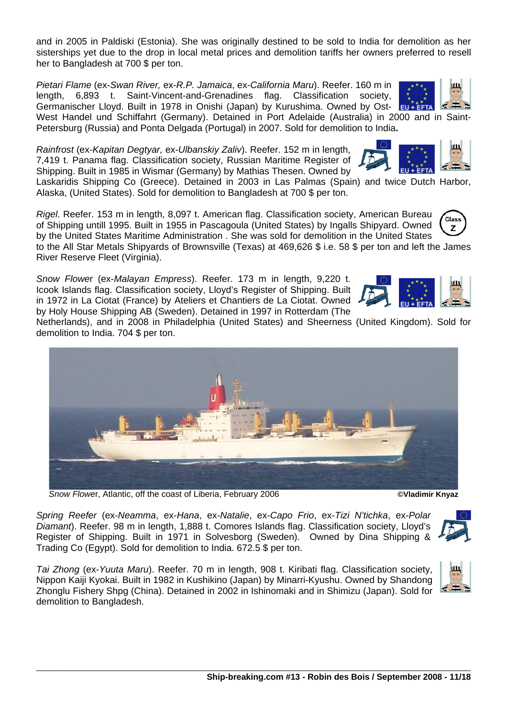\_\_\_\_\_\_\_\_\_\_\_\_\_\_\_\_\_\_\_\_\_\_\_\_\_\_\_\_\_\_\_\_\_\_\_\_\_\_\_\_\_\_\_\_\_\_\_\_\_\_\_\_\_\_\_\_\_\_\_\_\_\_\_\_\_\_\_\_\_\_\_\_\_\_\_\_\_\_\_\_\_\_\_\_\_ **Ship-breaking.com #13 - Robin des Bois / September 2008 - 11/18** 

and in 2005 in Paldiski (Estonia). She was originally destined to be sold to India for demolition as her sisterships yet due to the drop in local metal prices and demolition tariffs her owners preferred to resell her to Bangladesh at 700 \$ per ton.

*Pietari Flame* (ex-*Swan River,* ex-*R.P. Jamaica*, ex-*California Maru*). Reefer. 160 m in length, 6,893 t. Saint-Vincent-and-Grenadines flag. Classification society, Germanischer Lloyd. Built in 1978 in Onishi (Japan) by Kurushima. Owned by Ost-

West Handel und Schiffahrt (Germany). Detained in Port Adelaide (Australia) in 2000 and in Saint-Petersburg (Russia) and Ponta Delgada (Portugal) in 2007. Sold for demolition to India**.** 

*Rainfrost* (ex-*Kapitan Degtyar,* ex-*Ulbanskiy Zaliv*). Reefer. 152 m in length, 7,419 t. Panama flag. Classification society, Russian Maritime Register of Shipping. Built in 1985 in Wismar (Germany) by Mathias Thesen. Owned by

Laskaridis Shipping Co (Greece). Detained in 2003 in Las Palmas (Spain) and twice Dutch Harbor, Alaska, (United States). Sold for demolition to Bangladesh at 700 \$ per ton.

*Rigel*. Reefer. 153 m in length, 8,097 t. American flag. Classification society, American Bureau of Shipping untill 1995. Built in 1955 in Pascagoula (United States) by Ingalls Shipyard. Owned by the United States Maritime Administration . She was sold for demolition in the United States

to the All Star Metals Shipyards of Brownsville (Texas) at 469,626 \$ i.e. 58 \$ per ton and left the James River Reserve Fleet (Virginia).

*Snow Flowe*r (ex-*Malayan Empress*). Reefer. 173 m in length, 9,220 t. Icook Islands flag. Classification society, Lloyd's Register of Shipping. Built in 1972 in La Ciotat (France) by Ateliers et Chantiers de La Ciotat. Owned by Holy House Shipping AB (Sweden). Detained in 1997 in Rotterdam (The

Netherlands), and in 2008 in Philadelphia (United States) and Sheerness (United Kingdom). Sold for demolition to India. 704 \$ per ton.



*Spring Reefer* (ex-*Neamma*, ex-*Hana*, ex-*Natalie*, ex-*Capo Frio*, ex-*Tizi N'tichka*, ex-*Polar Diamant*). Reefer. 98 m in length, 1,888 t. Comores Islands flag. Classification society, Lloyd's Register of Shipping. Built in 1971 in Solvesborg (Sweden). Owned by Dina Shipping & Trading Co (Egypt). Sold for demolition to India. 672.5 \$ per ton.

*Tai Zhong* (ex-*Yuuta Maru*). Reefer. 70 m in length, 908 t. Kiribati flag. Classification society, Nippon Kaiji Kyokai. Built in 1982 in Kushikino (Japan) by Minarri-Kyushu. Owned by Shandong Zhonglu Fishery Shpg (China). Detained in 2002 in Ishinomaki and in Shimizu (Japan). Sold for demolition to Bangladesh.













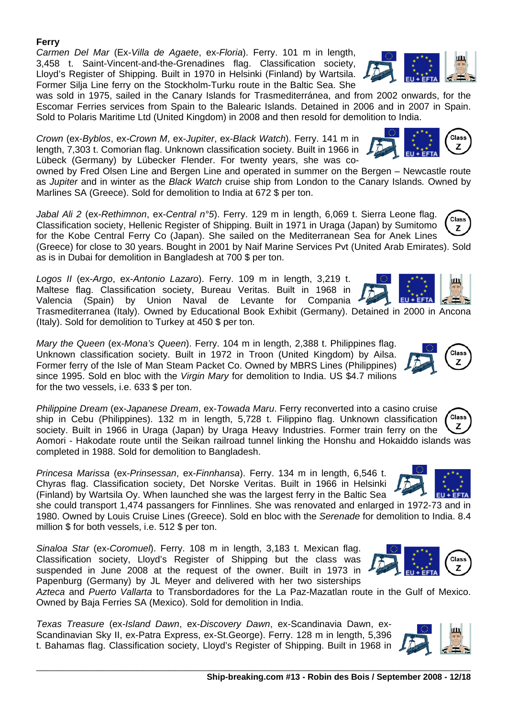#### **Ferry**

*Carmen Del Mar* (Ex-*Villa de Agaete*, ex-*Floria*). Ferry. 101 m in length, 3,458 t. Saint-Vincent-and-the-Grenadines flag. Classification society, Lloyd's Register of Shipping. Built in 1970 in Helsinki (Finland) by Wartsila. Former Silja Line ferry on the Stockholm-Turku route in the Baltic Sea. She

was sold in 1975, sailed in the Canary Islands for Trasmediterránea, and from 2002 onwards, for the Escomar Ferries services from Spain to the Balearic Islands. Detained in 2006 and in 2007 in Spain. Sold to Polaris Maritime Ltd (United Kingdom) in 2008 and then resold for demolition to India.

*Crown* (ex-*Byblos*, ex*-Crown M*, ex-*Jupiter*, ex-*Black Watch*). Ferry. 141 m in length, 7,303 t. Comorian flag. Unknown classification society. Built in 1966 in Lübeck (Germany) by Lübecker Flender. For twenty years, she was co-

owned by Fred Olsen Line and Bergen Line and operated in summer on the Bergen – Newcastle route as *Jupiter* and in winter as the *Black Watch* cruise ship from London to the Canary Islands*.* Owned by Marlines SA (Greece). Sold for demolition to India at 672 \$ per ton.

*Jabal Ali 2* (ex-*Rethimnon*, ex-*Central n°5*). Ferry. 129 m in length, 6,069 t. Sierra Leone flag. Classification society, Hellenic Register of Shipping. Built in 1971 in Uraga (Japan) by Sumitomo for the Kobe Central Ferry Co (Japan). She sailed on the Mediterranean Sea for Anek Lines

(Greece) for close to 30 years. Bought in 2001 by Naif Marine Services Pvt (United Arab Emirates). Sold as is in Dubai for demolition in Bangladesh at 700 \$ per ton.

*Logos II* (ex-*Argo*, ex-*Antonio Lazaro*). Ferry. 109 m in length, 3,219 t. Maltese flag. Classification society, Bureau Veritas. Built in 1968 in Valencia (Spain) by Union Naval de Levante for Compania Trasmediterranea (Italy). Owned by Educational Book Exhibit (Germany). Detained in 2000 in Ancona (Italy). Sold for demolition to Turkey at 450 \$ per ton.

*Mary the Queen* (ex*-Mona's Queen*). Ferry. 104 m in length, 2,388 t. Philippines flag. Unknown classification society. Built in 1972 in Troon (United Kingdom) by Ailsa. Former ferry of the Isle of Man Steam Packet Co. Owned by MBRS Lines (Philippines) since 1995. Sold en bloc with the *Virgin Mary* for demolition to India. US \$4.7 milions for the two vessels, i.e. 633 \$ per ton.

*Philippine Dream* (ex-*Japanese Dream*, ex-*Towada Maru*. Ferry reconverted into a casino cruise r<br>Class ship in Cebu (Philippines). 132 m in length, 5,728 t. Filippino flag. Unknown classification society. Built in 1966 in Uraga (Japan) by Uraga Heavy Industries. Former train ferry on the Aomori - Hakodate route until the Seikan railroad tunnel linking the Honshu and Hokaiddo islands was completed in 1988. Sold for demolition to Bangladesh.

*Princesa Marissa* (ex-*Prinsessan*, ex-*Finnhansa*). Ferry. 134 m in length, 6,546 t. Chyras flag. Classification society, Det Norske Veritas. Built in 1966 in Helsinki (Finland) by Wartsila Oy. When launched she was the largest ferry in the Baltic Sea

she could transport 1,474 passangers for Finnlines. She was renovated and enlarged in 1972-73 and in 1980. Owned by Louis Cruise Lines (Greece). Sold en bloc with the *Serenade* for demolition to India. 8.4 million \$ for both vessels, i.e. 512 \$ per ton.

*Sinaloa Star* (ex-*Coromuel*). Ferry. 108 m in length, 3,183 t. Mexican flag. Classification society, Lloyd's Register of Shipping but the class was suspended in June 2008 at the request of the owner. Built in 1973 in Papenburg (Germany) by JL Meyer and delivered with her two sisterships

*Azteca* and *Puerto Vallarta* to Transbordadores for the La Paz-Mazatlan route in the Gulf of Mexico. Owned by Baja Ferries SA (Mexico). Sold for demolition in India.

\_\_\_\_\_\_\_\_\_\_\_\_\_\_\_\_\_\_\_\_\_\_\_\_\_\_\_\_\_\_\_\_\_\_\_\_\_\_\_\_\_\_\_\_\_\_\_\_\_\_\_\_\_\_\_\_\_\_\_\_\_\_\_\_\_\_\_\_\_\_\_\_\_\_\_\_\_\_\_\_\_\_\_\_\_

*Texas Treasure* (ex*-Island Dawn*, ex-*Discovery Dawn*, ex-Scandinavia Dawn, ex-Scandinavian Sky II, ex-Patra Express, ex-St.George). Ferry. 128 m in length, 5,396 t. Bahamas flag. Classification society, Lloyd's Register of Shipping. Built in 1968 in

















Class<sup>1</sup> z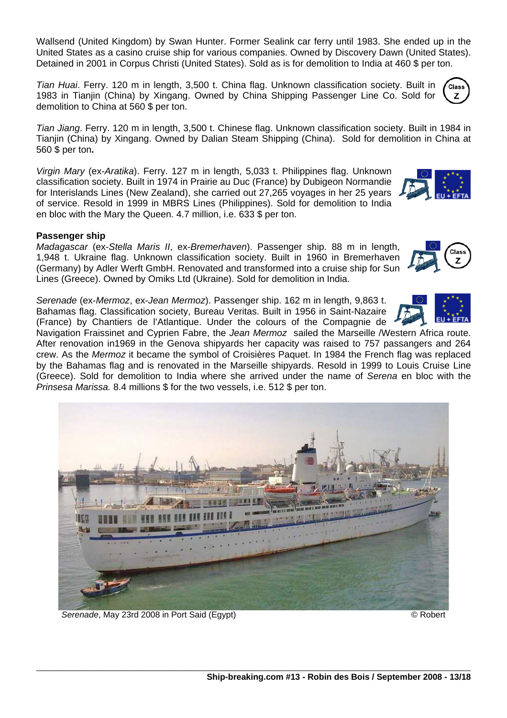Wallsend (United Kingdom) by Swan Hunter. Former Sealink car ferry until 1983. She ended up in the United States as a casino cruise ship for various companies. Owned by Discovery Dawn (United States). Detained in 2001 in Corpus Christi (United States). Sold as is for demolition to India at 460 \$ per ton.

*Tian Huai*. Ferry. 120 m in length, 3,500 t. China flag. Unknown classification society. Built in 1983 in Tianjin (China) by Xingang. Owned by China Shipping Passenger Line Co. Sold for demolition to China at 560 \$ per ton.

*Tian Jiang*. Ferry. 120 m in length, 3,500 t. Chinese flag. Unknown classification society. Built in 1984 in Tianjin (China) by Xingang. Owned by Dalian Steam Shipping (China). Sold for demolition in China at 560 \$ per ton**.** 

*Virgin Mary* (ex-*Aratika*). Ferry. 127 m in length, 5,033 t. Philippines flag. Unknown classification society. Built in 1974 in Prairie au Duc (France) by Dubigeon Normandie for Interislands Lines (New Zealand), she carried out 27,265 voyages in her 25 years of service. Resold in 1999 in MBRS Lines (Philippines). Sold for demolition to India en bloc with the Mary the Queen. 4.7 million, i.e. 633 \$ per ton.

# **Passenger ship**

*Madagascar* (ex-*Stella Maris II*, ex-*Bremerhaven*). Passenger ship. 88 m in length, 1,948 t. Ukraine flag. Unknown classification society. Built in 1960 in Bremerhaven (Germany) by Adler Werft GmbH. Renovated and transformed into a cruise ship for Sun Lines (Greece). Owned by Omiks Ltd (Ukraine). Sold for demolition in India.

*Serenade* (ex-*Mermoz*, ex-*Jean Mermoz*). Passenger ship. 162 m in length, 9,863 t. Bahamas flag. Classification society, Bureau Veritas. Built in 1956 in Saint-Nazaire (France) by Chantiers de l'Atlantique. Under the colours of the Compagnie de

Navigation Fraissinet and Cyprien Fabre, the *Jean Mermoz* sailed the Marseille /Western Africa route. After renovation in1969 in the Genova shipyards her capacity was raised to 757 passangers and 264 crew. As the *Mermoz* it became the symbol of Croisières Paquet. In 1984 the French flag was replaced by the Bahamas flag and is renovated in the Marseille shipyards. Resold in 1999 to Louis Cruise Line (Greece). Sold for demolition to India where she arrived under the name of *Serena* en bloc with the *Prinsesa Marissa.* 8.4 millions \$ for the two vessels, i.e. 512 \$ per ton.

*Serenade*, May 23rd 2008 in Port Said (Egypt) © Robert







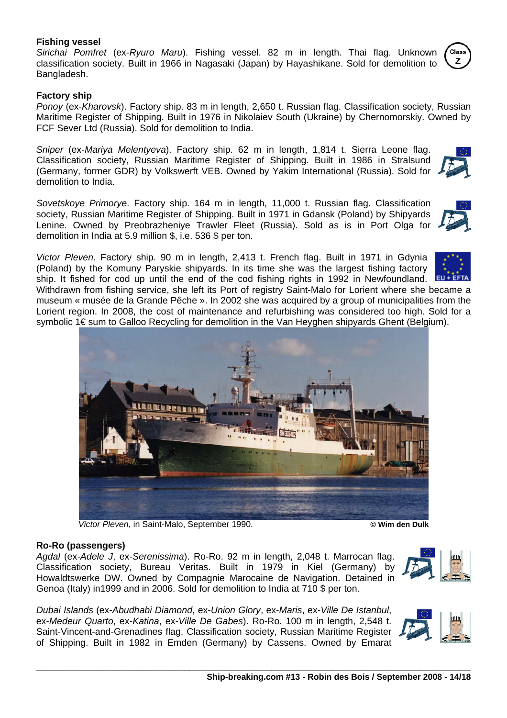#### **Fishing vessel**

*Sirichai Pomfret* (ex-*Ryuro Maru*). Fishing vessel. 82 m in length. Thai flag. Unknown classification society. Built in 1966 in Nagasaki (Japan) by Hayashikane. Sold for demolition to Bangladesh.

#### **Factory ship**

*Ponoy* (ex-*Kharovsk*). Factory ship. 83 m in length, 2,650 t. Russian flag. Classification society, Russian Maritime Register of Shipping. Built in 1976 in Nikolaiev South (Ukraine) by Chernomorskiy. Owned by FCF Sever Ltd (Russia). Sold for demolition to India.

*Sniper* (ex-*Mariya Melentyeva*). Factory ship. 62 m in length, 1,814 t. Sierra Leone flag. Classification society, Russian Maritime Register of Shipping. Built in 1986 in Stralsund (Germany, former GDR) by Volkswerft VEB. Owned by Yakim International (Russia). Sold for demolition to India.

*Sovetskoye Primorye*. Factory ship. 164 m in length, 11,000 t. Russian flag. Classification society, Russian Maritime Register of Shipping. Built in 1971 in Gdansk (Poland) by Shipyards Lenine. Owned by Preobrazheniye Trawler Fleet (Russia). Sold as is in Port Olga for demolition in India at 5.9 million \$, i.e. 536 \$ per ton.

*Victor Pleven*. Factory ship. 90 m in length, 2,413 t. French flag. Built in 1971 in Gdynia (Poland) by the Komuny Paryskie shipyards. In its time she was the largest fishing factory ship. It fished for cod up until the end of the cod fishing rights in 1992 in Newfoundland.

Withdrawn from fishing service, she left its Port of registry Saint-Malo for Lorient where she became a museum « musée de la Grande Pêche ». In 2002 she was acquired by a group of municipalities from the Lorient region. In 2008, the cost of maintenance and refurbishing was considered too high. Sold for a symbolic 1€ sum to Galloo Recycling for demolition in the Van Heyghen shipyards Ghent (Belgium).



*Victor Pleven*, in Saint-Malo, September 1990. **© Wim den Dulk**

# **Ro-Ro (passengers)**

*Agdal* (ex*-Adele J*, ex-*Serenissima*). Ro-Ro. 92 m in length, 2,048 t. Marrocan flag. Classification society, Bureau Veritas. Built in 1979 in Kiel (Germany) by Howaldtswerke DW. Owned by Compagnie Marocaine de Navigation. Detained in Genoa (Italy) in1999 and in 2006. Sold for demolition to India at 710 \$ per ton.

*Dubai Islands* (ex-*Abudhabi Diamond*, ex-*Union Glory*, ex-*Maris*, ex-*Ville De Istanbul*, ex-*Medeur Quarto*, ex-*Katina*, ex-*Ville De Gabes*). Ro-Ro. 100 m in length, 2,548 t. Saint-Vincent-and-Grenadines flag. Classification society, Russian Maritime Register of Shipping. Built in 1982 in Emden (Germany) by Cassens. Owned by Emarat







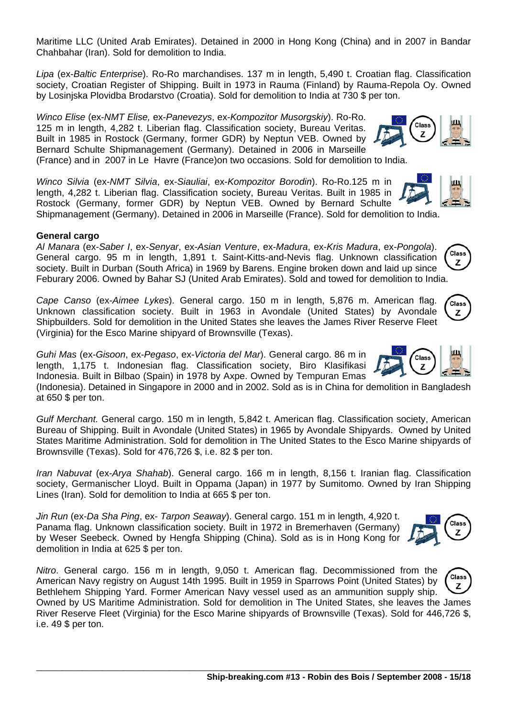Z

(France) and in 2007 in Le Havre (France)on two occasions. Sold for demolition to India.

length, 4,282 t. Liberian flag. Classification society, Bureau Veritas. Built in 1985 in Rostock (Germany, former GDR) by Neptun VEB. Owned by Bernard Schulte

#### **General cargo**

*Al Manara* (ex-*Saber I*, ex-*Senyar*, ex-*Asian Venture*, ex-*Madura*, ex-*Kris Madura*, ex-*Pongola*). General cargo. 95 m in length, 1,891 t. Saint-Kitts-and-Nevis flag. Unknown classification society. Built in Durban (South Africa) in 1969 by Barens. Engine broken down and laid up since Feburary 2006. Owned by Bahar SJ (United Arab Emirates). Sold and towed for demolition to India.

*Cape Canso* (ex-*Aimee Lykes*). General cargo. 150 m in length, 5,876 m. American flag. Unknown classification society. Built in 1963 in Avondale (United States) by Avondale Shipbuilders. Sold for demolition in the United States she leaves the James River Reserve Fleet (Virginia) for the Esco Marine shipyard of Brownsville (Texas).

*Guhi Mas* (ex-*Gisoon*, ex-*Pegaso*, ex-*Victoria del Mar*). General cargo. 86 m in length, 1,175 t. Indonesian flag. Classification society, Biro Klasifikasi Indonesia. Built in Bilbao (Spain) in 1978 by Axpe. Owned by Tempuran Emas

(Indonesia). Detained in Singapore in 2000 and in 2002. Sold as is in China for demolition in Bangladesh at 650 \$ per ton.

*Gulf Merchant.* General cargo. 150 m in length, 5,842 t. American flag. Classification society, American Bureau of Shipping. Built in Avondale (United States) in 1965 by Avondale Shipyards. Owned by United States Maritime Administration. Sold for demolition in The United States to the Esco Marine shipyards of Brownsville (Texas). Sold for 476,726 \$, i.e. 82 \$ per ton.

*Iran Nabuvat* (ex-*Arya Shahab*). General cargo. 166 m in length, 8,156 t. Iranian flag. Classification society, Germanischer Lloyd. Built in Oppama (Japan) in 1977 by Sumitomo. Owned by Iran Shipping Lines (Iran). Sold for demolition to India at 665 \$ per ton.

*Jin Run* (ex-*Da Sha Ping*, ex- *Tarpon Seaway*). General cargo. 151 m in length, 4,920 t. Panama flag. Unknown classification society. Built in 1972 in Bremerhaven (Germany) by Weser Seebeck. Owned by Hengfa Shipping (China). Sold as is in Hong Kong for demolition in India at 625 \$ per ton.

*Nitro*. General cargo. 156 m in length, 9,050 t. American flag. Decommissioned from the **Class** American Navy registry on August 14th 1995. Built in 1959 in Sparrows Point (United States) by z Bethlehem Shipping Yard. Former American Navy vessel used as an ammunition supply ship. Owned by US Maritime Administration. Sold for demolition in The United States, she leaves the James

River Reserve Fleet (Virginia) for the Esco Marine shipyards of Brownsville (Texas). Sold for 446,726 \$, i.e. 49 \$ per ton.

\_\_\_\_\_\_\_\_\_\_\_\_\_\_\_\_\_\_\_\_\_\_\_\_\_\_\_\_\_\_\_\_\_\_\_\_\_\_\_\_\_\_\_\_\_\_\_\_\_\_\_\_\_\_\_\_\_\_\_\_\_\_\_\_\_\_\_\_\_\_\_\_\_\_\_\_\_\_\_\_\_\_\_\_\_

Maritime LLC (United Arab Emirates). Detained in 2000 in Hong Kong (China) and in 2007 in Bandar Chahbahar (Iran). Sold for demolition to India.

*Lipa* (ex-*Baltic Enterprise*). Ro-Ro marchandises. 137 m in length, 5,490 t. Croatian flag. Classification society, Croatian Register of Shipping. Built in 1973 in Rauma (Finland) by Rauma-Repola Oy. Owned by Losinjska Plovidba Brodarstvo (Croatia). Sold for demolition to India at 730 \$ per ton.

*Winco Elise* (ex-*NMT Elise,* ex-*Panevezys*, ex-*Kompozitor Musorgskiy*). Ro-Ro. 125 m in length, 4,282 t. Liberian flag. Classification society, Bureau Veritas. Built in 1985 in Rostock (Germany, former GDR) by Neptun VEB. Owned by Bernard Schulte Shipmanagement (Germany). Detained in 2006 in Marseille

*Winco Silvia* (ex-*NMT Silvia*, ex-*Siauliai*, ex-*Kompozitor Borodin*). Ro-Ro.125 m in

Shipmanagement (Germany). Detained in 2006 in Marseille (France). Sold for demolition to India.







Class Z

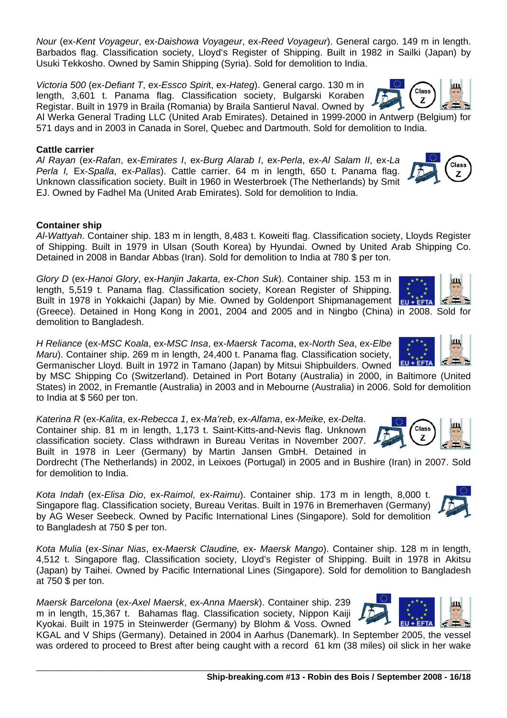*Nour* (ex-*Kent Voyageur*, ex-*Daishowa Voyageur*, ex-*Reed Voyageur*). General cargo. 149 m in length. Barbados flag. Classification society, Lloyd's Register of Shipping. Built in 1982 in Sailki (Japan) by Usuki Tekkosho. Owned by Samin Shipping (Syria). Sold for demolition to India.

*Victoria 500* (ex-*Defiant T*, ex-*Essco Spiri*t, ex-*Hateg*). General cargo. 130 m in length, 3,601 t. Panama flag. Classification society, Bulgarski Koraben Registar. Built in 1979 in Braila (Romania) by Braila Santierul Naval. Owned by Al Werka General Trading LLC (United Arab Emirates). Detained in 1999-2000 in Antwerp (Belgium) for

571 days and in 2003 in Canada in Sorel, Quebec and Dartmouth. Sold for demolition to India.

# **Cattle carrier**

*Al Rayan* (ex-*Rafan*, ex*-Emirates I*, ex-*Burg Alarab I*, ex-*Perla*, ex-*Al Salam II*, ex*-La Perla I,* Ex-*Spalla*, ex-*Pallas*). Cattle carrier. 64 m in length, 650 t. Panama flag. Unknown classification society. Built in 1960 in Westerbroek (The Netherlands) by Smit EJ. Owned by Fadhel Ma (United Arab Emirates). Sold for demolition to India.

# **Container ship**

*Al-Wattyah*. Container ship. 183 m in length, 8,483 t. Koweiti flag. Classification society, Lloyds Register of Shipping. Built in 1979 in Ulsan (South Korea) by Hyundai. Owned by United Arab Shipping Co. Detained in 2008 in Bandar Abbas (Iran). Sold for demolition to India at 780 \$ per ton.

*Glory D* (ex-*Hanoi Glory*, ex-*Hanjin Jakarta*, ex-*Chon Suk*). Container ship. 153 m in length, 5,519 t. Panama flag. Classification society, Korean Register of Shipping. Built in 1978 in Yokkaichi (Japan) by Mie. Owned by Goldenport Shipmanagement Eu+EFTA (Greece). Detained in Hong Kong in 2001, 2004 and 2005 and in Ningbo (China) in 2008. Sold for demolition to Bangladesh.

*H Reliance* (ex-*MSC Koala*, ex-*MSC Insa*, ex-*Maersk Tacoma*, ex-*North Sea*, ex-*Elbe Maru*). Container ship. 269 m in length, 24,400 t. Panama flag. Classification society, Germanischer Lloyd. Built in 1972 in Tamano (Japan) by Mitsui Shipbuilders. Owned

by MSC Shipping Co (Switzerland). Detained in Port Botany (Australia) in 2000, in Baltimore (United States) in 2002, in Fremantle (Australia) in 2003 and in Mebourne (Australia) in 2006. Sold for demolition to India at \$ 560 per ton.

*Katerina R* (ex-*Kalita*, ex-*Rebecca 1*, ex*-Ma'reb*, ex-*Alfama*, ex-*Meike*, ex-*Delta*. Container ship. 81 m in length, 1,173 t. Saint-Kitts-and-Nevis flag. Unknown classification society. Class withdrawn in Bureau Veritas in November 2007. Built in 1978 in Leer (Germany) by Martin Jansen GmbH. Detained in

Dordrecht (The Netherlands) in 2002, in Leixoes (Portugal) in 2005 and in Bushire (Iran) in 2007. Sold for demolition to India.

*Kota Indah* (ex-*Elisa Dio*, ex-*Raimol*, ex-*Raimu*). Container ship. 173 m in length, 8,000 t. Singapore flag. Classification society, Bureau Veritas. Built in 1976 in Bremerhaven (Germany) by AG Weser Seebeck. Owned by Pacific International Lines (Singapore). Sold for demolition to Bangladesh at 750 \$ per ton.

*Kota Mulia* (ex-*Sinar Nias*, ex-*Maersk Claudine,* ex- *Maersk Mango*). Container ship. 128 m in length, 4,512 t. Singapore flag. Classification society, Lloyd's Register of Shipping. Built in 1978 in Akitsu (Japan) by Taihei. Owned by Pacific International Lines (Singapore). Sold for demolition to Bangladesh at 750 \$ per ton.

*Maersk Barcelona* (ex-*Axel Maersk*, ex-*Anna Maersk*). Container ship. 239 m in length, 15,367 t. Bahamas flag. Classification society, Nippon Kaiji Kyokai. Built in 1975 in Steinwerder (Germany) by Blohm & Voss. Owned

KGAL and V Ships (Germany). Detained in 2004 in Aarhus (Danemark). In September 2005, the vessel was ordered to proceed to Brest after being caught with a record 61 km (38 miles) oil slick in her wake

\_\_\_\_\_\_\_\_\_\_\_\_\_\_\_\_\_\_\_\_\_\_\_\_\_\_\_\_\_\_\_\_\_\_\_\_\_\_\_\_\_\_\_\_\_\_\_\_\_\_\_\_\_\_\_\_\_\_\_\_\_\_\_\_\_\_\_\_\_\_\_\_\_\_\_\_\_\_\_\_\_\_\_\_\_







m

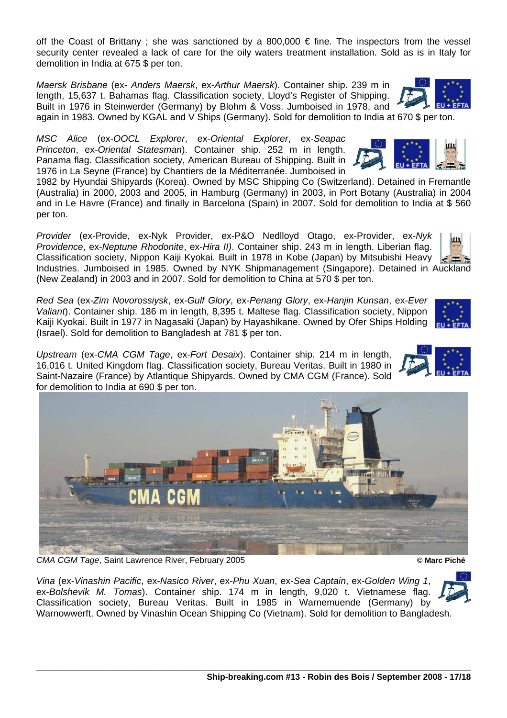off the Coast of Brittany; she was sanctioned by a 800,000  $\epsilon$  fine. The inspectors from the vessel security center revealed a lack of care for the oily waters treatment installation. Sold as is in Italy for demolition in India at 675 \$ per ton.

*Maersk Brisbane* (ex- *Anders Maersk*, ex-*Arthur Maersk*). Container ship. 239 m in length, 15,637 t. Bahamas flag. Classification society, Lloyd's Register of Shipping. Built in 1976 in Steinwerder (Germany) by Blohm & Voss. Jumboised in 1978, and again in 1983. Owned by KGAL and V Ships (Germany). Sold for demolition to India at 670 \$ per ton.

*MSC Alice* (ex-*OOCL Explorer*, ex-*Oriental Explorer*, ex-*Seapac Princeton*, ex*-Oriental Statesman*). Container ship. 252 m in length. Panama flag. Classification society, American Bureau of Shipping. Built in 1976 in La Seyne (France) by Chantiers de la Méditerranée. Jumboised in

1982 by Hyundai Shipyards (Korea). Owned by MSC Shipping Co (Switzerland). Detained in Fremantle (Australia) in 2000, 2003 and 2005, in Hamburg (Germany) in 2003, in Port Botany (Australia) in 2004 and in Le Havre (France) and finally in Barcelona (Spain) in 2007. Sold for demolition to India at \$ 560 per ton.

*Provider* (ex-Provide, ex-Nyk Provider, ex-P&O Nedlloyd Otago, ex-Provider, ex-*Nyk Providence*, ex-*Neptune Rhodonite*, ex-*Hira II)*. Container ship. 243 m in length. Liberian flag. Classification society, Nippon Kaiji Kyokai. Built in 1978 in Kobe (Japan) by Mitsubishi Heavy

Industries. Jumboised in 1985. Owned by NYK Shipmanagement (Singapore). Detained in Auckland (New Zealand) in 2003 and in 2007. Sold for demolition to China at 570 \$ per ton.

*Red Sea* (ex-*Zim Novorossiysk*, ex-*Gulf Glory*, ex-*Penang Glory*, ex-*Hanjin Kunsan*, ex-*Ever Valiant*). Container ship. 186 m in length, 8,395 t. Maltese flag. Classification society, Nippon Kaiji Kyokai. Built in 1977 in Nagasaki (Japan) by Hayashikane. Owned by Ofer Ships Holding (Israel). Sold for demolition to Bangladesh at 781 \$ per ton.

*Upstream* (ex-*CMA CGM Tage*, ex-*Fort Desaix*). Container ship. 214 m in length, 16,016 t. United Kingdom flag. Classification society, Bureau Veritas. Built in 1980 in Saint-Nazaire (France) by Atlantique Shipyards. Owned by CMA CGM (France). Sold for demolition to India at 690 \$ per ton.

*CMA CGM Tage*, Saint Lawrence River, February 2005 **© Marc Piché**

H

Δ

CC

*Vina* (ex-*Vinashin Pacific*, ex-*Nasico River*, ex-*Phu Xuan*, ex-*Sea Captain*, ex-*Golden Wing 1*, ex-*Bolshevik M. Tomas*). Container ship. 174 m in length, 9,020 t. Vietnamese flag. Classification society, Bureau Veritas. Built in 1985 in Warnemuende (Germany) by Warnowwerft. Owned by Vinashin Ocean Shipping Co (Vietnam). Sold for demolition to Bangladesh.

\_\_\_\_\_\_\_\_\_\_\_\_\_\_\_\_\_\_\_\_\_\_\_\_\_\_\_\_\_\_\_\_\_\_\_\_\_\_\_\_\_\_\_\_\_\_\_\_\_\_\_\_\_\_\_\_\_\_\_\_\_\_\_\_\_\_\_\_\_\_\_\_\_\_\_\_\_\_\_\_\_\_\_\_\_





шı